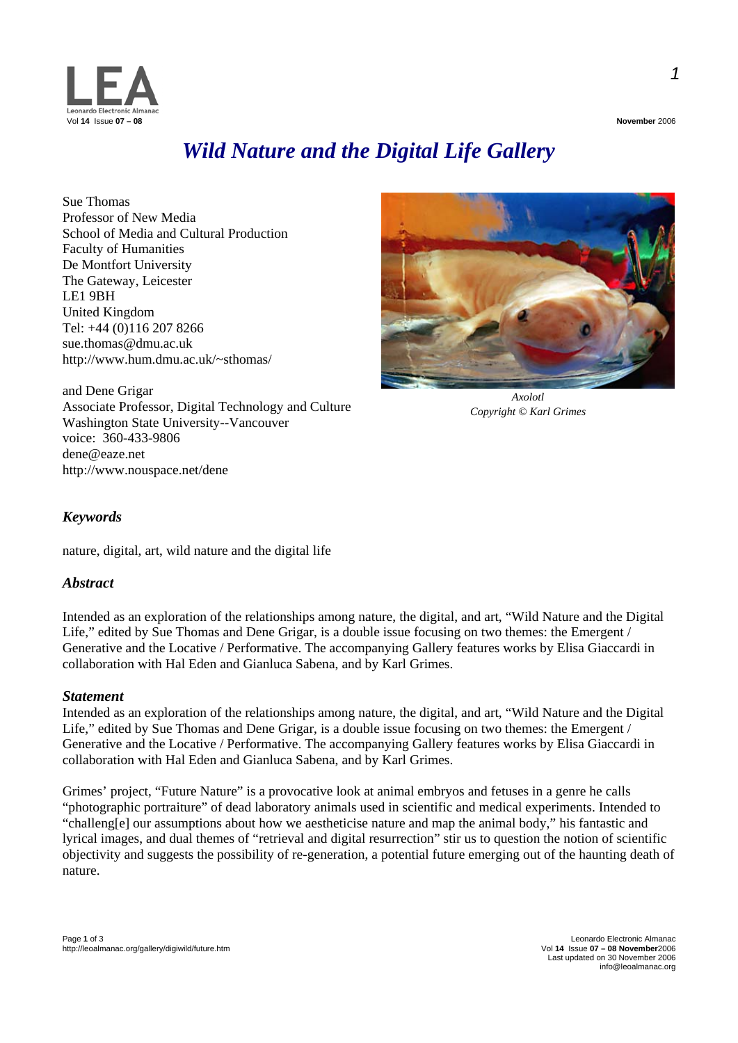

*1*

### *Wild Nature and the Digital Life Gallery*

Sue Thomas Professor of New Media School of Media and Cultural Production Faculty of Humanities De Montfort University The Gateway, Leicester LE1 9BH United Kingdom Tel: +44 (0)116 207 8266 sue.thomas@dmu.ac.uk http://www.hum.dmu.ac.uk/~sthomas/

and Dene Grigar Associate Professor, Digital Technology and Culture Washington State University--Vancouver voice: 360-433-9806 [dene@eaze.net](mailto:dene@eaze.net) http://www.nouspace.net/dene



*Axolotl Copyright © Karl Grimes* 

### *Keywords*

nature, digital, art, wild nature and the digital life

### *Abstract*

Intended as an exploration of the relationships among nature, the digital, and art, "Wild Nature and the Digital Life," edited by Sue Thomas and Dene Grigar, is a double issue focusing on two themes: the Emergent / Generative and the Locative / Performative. The accompanying Gallery features works by Elisa Giaccardi in collaboration with Hal Eden and Gianluca Sabena, and by Karl Grimes.

### *Statement*

Intended as an exploration of the relationships among nature, the digital, and art, "Wild Nature and the Digital Life," edited by Sue Thomas and Dene Grigar, is a double issue focusing on two themes: the Emergent / Generative and the Locative / Performative. The accompanying Gallery features works by Elisa Giaccardi in collaboration with Hal Eden and Gianluca Sabena, and by Karl Grimes.

Grimes' project, "Future Nature" is a provocative look at animal embryos and fetuses in a genre he calls "photographic portraiture" of dead laboratory animals used in scientific and medical experiments. Intended to "challeng[e] our assumptions about how we aestheticise nature and map the animal body," his fantastic and lyrical images, and dual themes of "retrieval and digital resurrection" stir us to question the notion of scientific objectivity and suggests the possibility of re-generation, a potential future emerging out of the haunting death of nature.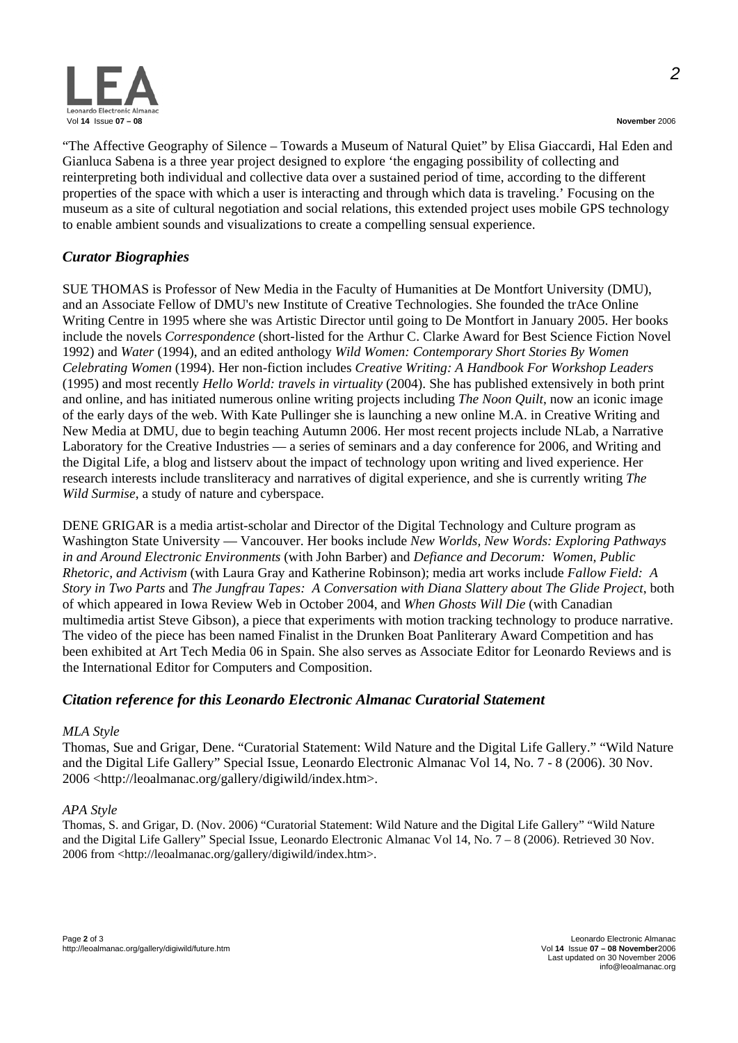

*2*

"The Affective Geography of Silence – Towards a Museum of Natural Quiet" by Elisa Giaccardi, Hal Eden and Gianluca Sabena is a three year project designed to explore 'the engaging possibility of collecting and reinterpreting both individual and collective data over a sustained period of time, according to the different properties of the space with which a user is interacting and through which data is traveling.' Focusing on the museum as a site of cultural negotiation and social relations, this extended project uses mobile GPS technology to enable ambient sounds and visualizations to create a compelling sensual experience.

### *Curator Biographies*

SUE THOMAS is Professor of New Media in the Faculty of Humanities at De Montfort University (DMU), and an Associate Fellow of DMU's new Institute of Creative Technologies. She founded the trAce Online Writing Centre in 1995 where she was Artistic Director until going to De Montfort in January 2005. Her books include the novels *Correspondence* (short-listed for the Arthur C. Clarke Award for Best Science Fiction Novel 1992) and *Water* (1994), and an edited anthology *Wild Women: Contemporary Short Stories By Women Celebrating Women* (1994). Her non-fiction includes *Creative Writing: A Handbook For Workshop Leaders* (1995) and most recently *Hello World: travels in virtuality* (2004). She has published extensively in both print and online, and has initiated numerous online writing projects including *The Noon Quilt*, now an iconic image of the early days of the web. With Kate Pullinger she is launching a new online M.A. in Creative Writing and New Media at DMU, due to begin teaching Autumn 2006. Her most recent projects include NLab, a Narrative Laboratory for the Creative Industries — a series of seminars and a day conference for 2006, and Writing and the Digital Life, a blog and listserv about the impact of technology upon writing and lived experience. Her research interests include transliteracy and narratives of digital experience, and she is currently writing *The Wild Surmise*, a study of nature and cyberspace.

DENE GRIGAR is a media artist-scholar and Director of the Digital Technology and Culture program as Washington State University — Vancouver. Her books include *New Worlds, New Words: Exploring Pathways in and Around Electronic Environments* (with John Barber) and *Defiance and Decorum: Women, Public Rhetoric, and Activism* (with Laura Gray and Katherine Robinson); media art works include *Fallow Field: A Story in Two Parts* and *The Jungfrau Tapes: A Conversation with Diana Slattery about The Glide Project*, both of which appeared in Iowa Review Web in October 2004, and *When Ghosts Will Die* (with Canadian multimedia artist Steve Gibson), a piece that experiments with motion tracking technology to produce narrative. The video of the piece has been named Finalist in the Drunken Boat Panliterary Award Competition and has been exhibited at Art Tech Media 06 in Spain. She also serves as Associate Editor for Leonardo Reviews and is the International Editor for Computers and Composition.

### *Citation reference for this Leonardo Electronic Almanac Curatorial Statement*

### *MLA Style*

Thomas, Sue and Grigar, Dene. "Curatorial Statement: Wild Nature and the Digital Life Gallery." "Wild Nature and the Digital Life Gallery" Special Issue, Leonardo Electronic Almanac Vol 14, No. 7 - 8 (2006). 30 Nov. 2006 <http://leoalmanac.org/gallery/digiwild/index.htm>.

### *APA Style*

Thomas, S. and Grigar, D. (Nov. 2006) "Curatorial Statement: Wild Nature and the Digital Life Gallery" "Wild Nature and the Digital Life Gallery" Special Issue, Leonardo Electronic Almanac Vol 14, No. 7 – 8 (2006). Retrieved 30 Nov. 2006 from <http://leoalmanac.org/gallery/digiwild/index.htm>.